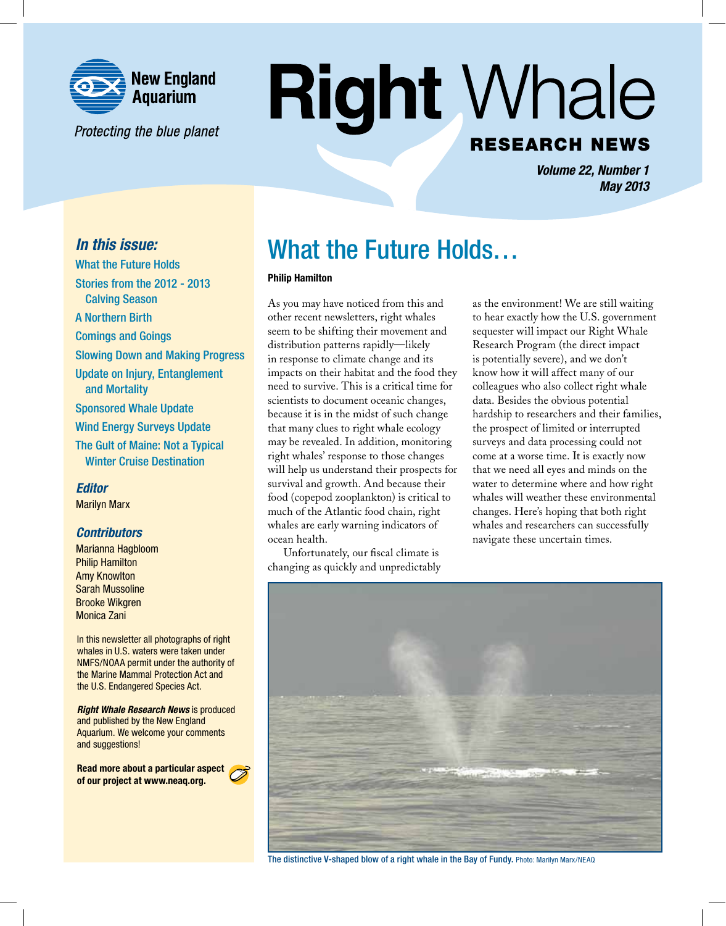

Protecting the blue planet

## **Right Whale RESEARCH NEWS**

*Volume 22, Number 1 May 2013*

#### *In this issue:*

What the Future Holds Stories from the 2012 - 2013 Calving Season A Northern Birth Comings and Goings Slowing Down and Making Progress Update on Injury, Entanglement and Mortality Sponsored Whale Update Wind Energy Surveys Update The Gult of Maine: Not a Typical Winter Cruise Destination

#### *Editor*

Marilyn Marx

#### *Contributors*

Marianna Hagbloom Philip Hamilton Amy Knowlton Sarah Mussoline Brooke Wikgren Monica Zani

In this newsletter all photographs of right whales in U.S. waters were taken under NMFS/NOAA permit under the authority of the Marine Mammal Protection Act and the U.S. Endangered Species Act.

*Right Whale Research News* is produced and published by the New England Aquarium. We welcome your comments and suggestions!

Read more about a particular aspect of our project at www.neaq.org.



## What the Future Holds…

#### Philip Hamilton

As you may have noticed from this and other recent newsletters, right whales seem to be shifting their movement and distribution patterns rapidly—likely in response to climate change and its impacts on their habitat and the food they need to survive. This is a critical time for scientists to document oceanic changes, because it is in the midst of such change that many clues to right whale ecology may be revealed. In addition, monitoring right whales' response to those changes will help us understand their prospects for survival and growth. And because their food (copepod zooplankton) is critical to much of the Atlantic food chain, right whales are early warning indicators of ocean health.

Unfortunately, our fiscal climate is changing as quickly and unpredictably as the environment! We are still waiting to hear exactly how the U.S. government sequester will impact our Right Whale Research Program (the direct impact is potentially severe), and we don't know how it will affect many of our colleagues who also collect right whale data. Besides the obvious potential hardship to researchers and their families, the prospect of limited or interrupted surveys and data processing could not come at a worse time. It is exactly now that we need all eyes and minds on the water to determine where and how right whales will weather these environmental changes. Here's hoping that both right whales and researchers can successfully navigate these uncertain times.



The distinctive V-shaped blow of a right whale in the Bay of Fundy. Photo: Marilyn Marx/NEAQ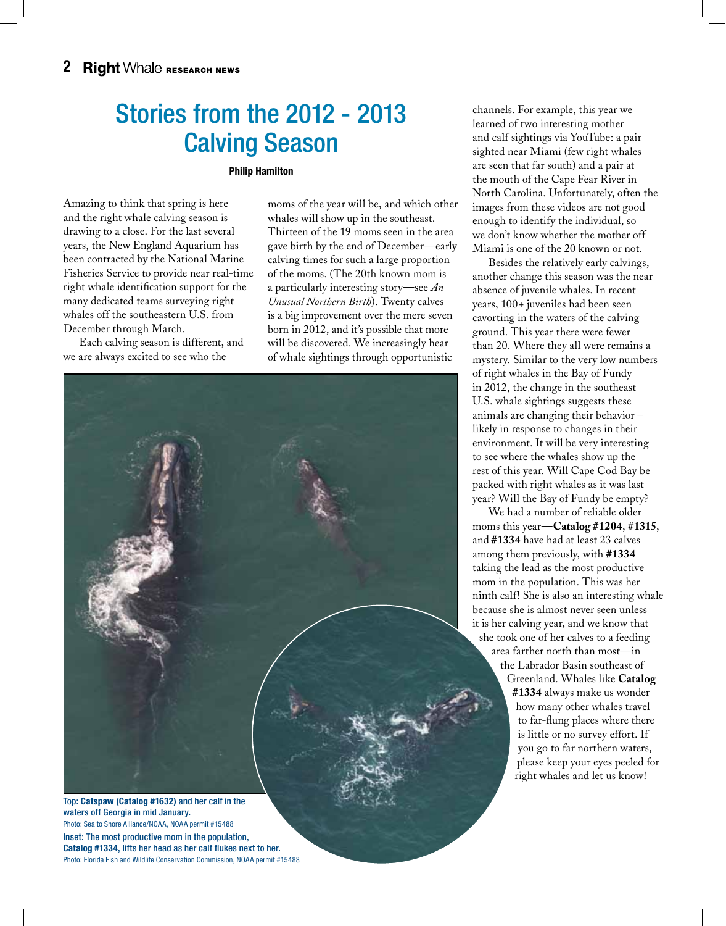## Stories from the 2012 - 2013 Calving Season

#### Philip Hamilton

Amazing to think that spring is here and the right whale calving season is drawing to a close. For the last several years, the New England Aquarium has been contracted by the National Marine Fisheries Service to provide near real-time right whale identification support for the many dedicated teams surveying right whales off the southeastern U.S. from December through March.

Each calving season is different, and we are always excited to see who the

moms of the year will be, and which other whales will show up in the southeast. Thirteen of the 19 moms seen in the area gave birth by the end of December—early calving times for such a large proportion of the moms. (The 20th known mom is a particularly interesting story—see *An Unusual Northern Birth*). Twenty calves is a big improvement over the mere seven born in 2012, and it's possible that more will be discovered. We increasingly hear of whale sightings through opportunistic



waters off Georgia in mid January. Photo: Sea to Shore Alliance/NOAA, NOAA permit #15488 Inset: The most productive mom in the population, Catalog #1334, lifts her head as her calf flukes next to her. Photo: Florida Fish and Wildlife Conservation Commission, NOAA permit #15488 channels. For example, this year we learned of two interesting mother and calf sightings via YouTube: a pair sighted near Miami (few right whales are seen that far south) and a pair at the mouth of the Cape Fear River in North Carolina. Unfortunately, often the images from these videos are not good enough to identify the individual, so we don't know whether the mother off Miami is one of the 20 known or not.

Besides the relatively early calvings, another change this season was the near absence of juvenile whales. In recent years, 100+ juveniles had been seen cavorting in the waters of the calving ground. This year there were fewer than 20. Where they all were remains a mystery. Similar to the very low numbers of right whales in the Bay of Fundy in 2012, the change in the southeast U.S. whale sightings suggests these animals are changing their behavior – likely in response to changes in their environment. It will be very interesting to see where the whales show up the rest of this year. Will Cape Cod Bay be packed with right whales as it was last year? Will the Bay of Fundy be empty?

We had a number of reliable older moms this year—**Catalog #1204**, #**1315**, and **#1334** have had at least 23 calves among them previously, with **#1334** taking the lead as the most productive mom in the population. This was her ninth calf! She is also an interesting whale because she is almost never seen unless it is her calving year, and we know that she took one of her calves to a feeding area farther north than most—in the Labrador Basin southeast of Greenland. Whales like **Catalog** 

**#1334** always make us wonder how many other whales travel to far-flung places where there is little or no survey effort. If you go to far northern waters, please keep your eyes peeled for right whales and let us know!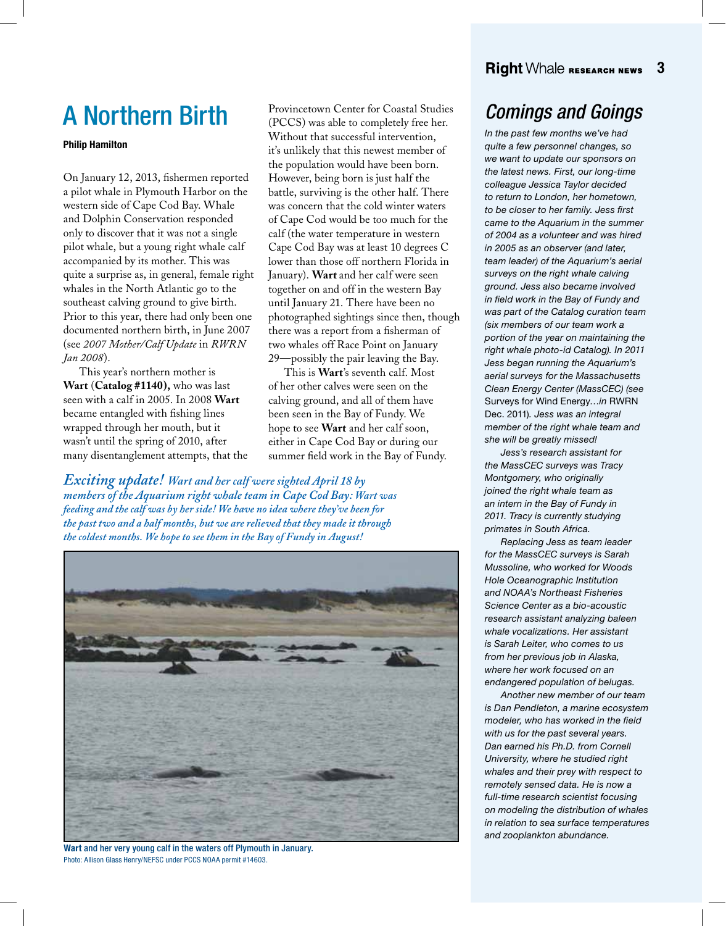## A Northern Birth

#### Philip Hamilton

On January 12, 2013, fishermen reported a pilot whale in Plymouth Harbor on the western side of Cape Cod Bay. Whale and Dolphin Conservation responded only to discover that it was not a single pilot whale, but a young right whale calf accompanied by its mother. This was quite a surprise as, in general, female right whales in the North Atlantic go to the southeast calving ground to give birth. Prior to this year, there had only been one documented northern birth, in June 2007 (see *2007 Mother/Calf Update* in *RWRN Jan 2008*).

This year's northern mother is **Wart** (**Catalog #1140),** who was last seen with a calf in 2005. In 2008 **Wart** became entangled with fishing lines wrapped through her mouth, but it wasn't until the spring of 2010, after many disentanglement attempts, that the Provincetown Center for Coastal Studies (PCCS) was able to completely free her. Without that successful intervention, it's unlikely that this newest member of the population would have been born. However, being born is just half the battle, surviving is the other half. There was concern that the cold winter waters of Cape Cod would be too much for the calf (the water temperature in western Cape Cod Bay was at least 10 degrees C lower than those off northern Florida in January). **Wart** and her calf were seen together on and off in the western Bay until January 21. There have been no photographed sightings since then, though there was a report from a fisherman of two whales off Race Point on January 29—possibly the pair leaving the Bay.

This is **Wart**'s seventh calf. Most of her other calves were seen on the calving ground, and all of them have been seen in the Bay of Fundy. We hope to see **Wart** and her calf soon, either in Cape Cod Bay or during our summer field work in the Bay of Fundy.

*Exciting update! Wart and her calf were sighted April 18 by members of the Aquarium right whale team in Cape Cod Bay: Wart was feeding and the calf was by her side! We have no idea where they've been for the past two and a half months, but we are relieved that they made it through the coldest months. We hope to see them in the Bay of Fundy in August!*



Wart and her very young calf in the waters off Plymouth in January. Photo: Allison Glass Henry/NEFSC under PCCS NOAA permit #14603.

### *Comings and Goings*

*In the past few months we've had quite a few personnel changes, so we want to update our sponsors on the latest news. First, our long-time colleague Jessica Taylor decided to return to London, her hometown, to be closer to her family. Jess first came to the Aquarium in the summer of 2004 as a volunteer and was hired in 2005 as an observer (and later, team leader) of the Aquarium's aerial surveys on the right whale calving ground. Jess also became involved in field work in the Bay of Fundy and was part of the Catalog curation team (six members of our team work a portion of the year on maintaining the right whale photo-id Catalog). In 2011 Jess began running the Aquarium's aerial surveys for the Massachusetts Clean Energy Center (MassCEC) (see*  Surveys for Wind Energy…*in* RWRN Dec. 2011)*. Jess was an integral member of the right whale team and she will be greatly missed!* 

*Jess's research assistant for the MassCEC surveys was Tracy Montgomery, who originally joined the right whale team as an intern in the Bay of Fundy in 2011. Tracy is currently studying primates in South Africa.* 

*Replacing Jess as team leader for the MassCEC surveys is Sarah Mussoline, who worked for Woods Hole Oceanographic Institution and NOAA's Northeast Fisheries Science Center as a bio-acoustic research assistant analyzing baleen whale vocalizations. Her assistant is Sarah Leiter, who comes to us from her previous job in Alaska, where her work focused on an endangered population of belugas.* 

*Another new member of our team is Dan Pendleton, a marine ecosystem modeler, who has worked in the field with us for the past several years. Dan earned his Ph.D. from Cornell University, where he studied right whales and their prey with respect to remotely sensed data. He is now a full-time research scientist focusing on modeling the distribution of whales in relation to sea surface temperatures and zooplankton abundance.*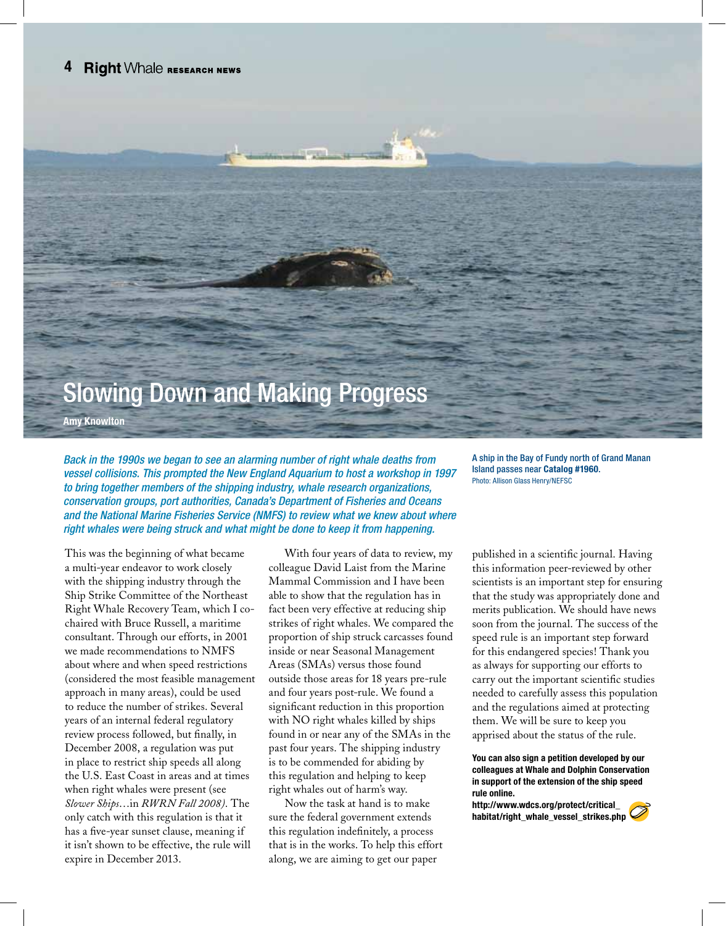## Slowing Down and Making Progress

Amy Knowlton

*Back in the 1990s we began to see an alarming number of right whale deaths from vessel collisions. This prompted the New England Aquarium to host a workshop in 1997 to bring together members of the shipping industry, whale research organizations, conservation groups, port authorities, Canada's Department of Fisheries and Oceans and the National Marine Fisheries Service (NMFS) to review what we knew about where right whales were being struck and what might be done to keep it from happening.* 

This was the beginning of what became a multi-year endeavor to work closely with the shipping industry through the Ship Strike Committee of the Northeast Right Whale Recovery Team, which I cochaired with Bruce Russell, a maritime consultant. Through our efforts, in 2001 we made recommendations to NMFS about where and when speed restrictions (considered the most feasible management approach in many areas), could be used to reduce the number of strikes. Several years of an internal federal regulatory review process followed, but finally, in December 2008, a regulation was put in place to restrict ship speeds all along the U.S. East Coast in areas and at times when right whales were present (see *Slower Ships*…in *RWRN Fall 2008)*. The only catch with this regulation is that it has a five-year sunset clause, meaning if it isn't shown to be effective, the rule will expire in December 2013.

With four years of data to review, my colleague David Laist from the Marine Mammal Commission and I have been able to show that the regulation has in fact been very effective at reducing ship strikes of right whales. We compared the proportion of ship struck carcasses found inside or near Seasonal Management Areas (SMAs) versus those found outside those areas for 18 years pre-rule and four years post-rule. We found a significant reduction in this proportion with NO right whales killed by ships found in or near any of the SMAs in the past four years. The shipping industry is to be commended for abiding by this regulation and helping to keep right whales out of harm's way.

Now the task at hand is to make sure the federal government extends this regulation indefinitely, a process that is in the works. To help this effort along, we are aiming to get our paper

A ship in the Bay of Fundy north of Grand Manan Island passes near Catalog #1960. Photo: Allison Glass Henry/NEFSC

published in a scientific journal. Having this information peer-reviewed by other scientists is an important step for ensuring that the study was appropriately done and merits publication. We should have news soon from the journal. The success of the speed rule is an important step forward for this endangered species! Thank you as always for supporting our efforts to carry out the important scientific studies needed to carefully assess this population and the regulations aimed at protecting them. We will be sure to keep you apprised about the status of the rule.

#### You can also sign a petition developed by our colleagues at Whale and Dolphin Conservation in support of the extension of the ship speed rule online.

http://www.wdcs.org/protect/critical\_ habitat/right\_whale\_vessel\_strikes.php

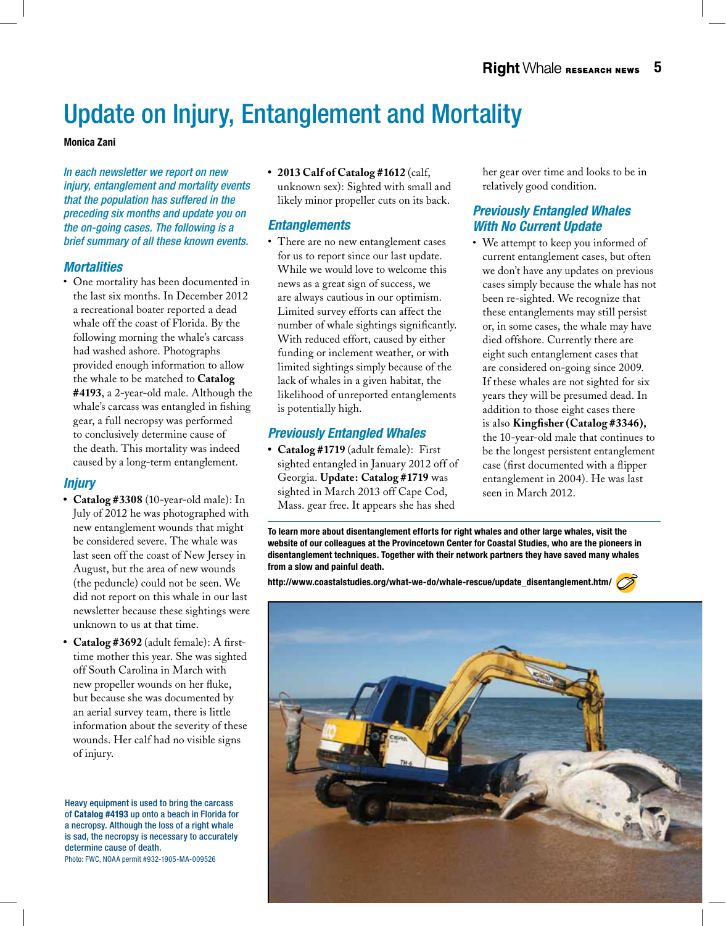## Update on Injury, Entanglement and Mortality

#### Monica Zani

*In each newsletter we report on new injury, entanglement and mortality events that the population has suffered in the preceding six months and update you on the on-going cases. The following is a brief summary of all these known events.*

#### *Mortalities*

• One mortality has been documented in the last six months. In December 2012 a recreational boater reported a dead whale off the coast of Florida. By the following morning the whale's carcass had washed ashore. Photographs provided enough information to allow the whale to be matched to **Catalog #4193**, a 2-year-old male. Although the whale's carcass was entangled in fishing gear, a full necropsy was performed to conclusively determine cause of the death. This mortality was indeed caused by a long-term entanglement.

#### *Injury*

- **• Catalog #3308** (10-year-old male): In July of 2012 he was photographed with new entanglement wounds that might be considered severe. The whale was last seen off the coast of New Jersey in August, but the area of new wounds (the peduncle) could not be seen. We did not report on this whale in our last newsletter because these sightings were unknown to us at that time.
- **• Catalog #3692** (adult female): A firsttime mother this year. She was sighted off South Carolina in March with new propeller wounds on her fluke, but because she was documented by an aerial survey team, there is little information about the severity of these wounds. Her calf had no visible signs of injury.

Heavy equipment is used to bring the carcass of Catalog #4193 up onto a beach in Florida for a necropsy. Although the loss of a right whale is sad, the necropsy is necessary to accurately determine cause of death. Photo: FWC, NOAA permit #932-1905-MA-009526

**• 2013 Calf of Catalog #1612** (calf, unknown sex): Sighted with small and likely minor propeller cuts on its back.

#### *Entanglements*

• There are no new entanglement cases for us to report since our last update. While we would love to welcome this news as a great sign of success, we are always cautious in our optimism. Limited survey efforts can affect the number of whale sightings significantly. With reduced effort, caused by either funding or inclement weather, or with limited sightings simply because of the lack of whales in a given habitat, the likelihood of unreported entanglements is potentially high.

#### *Previously Entangled Whales*

**• Catalog #1719** (adult female): First sighted entangled in January 2012 off of Georgia. **Update: Catalog #1719** was sighted in March 2013 off Cape Cod, Mass. gear free. It appears she has shed

her gear over time and looks to be in relatively good condition.

#### *Previously Entangled Whales With No Current Update*

• We attempt to keep you informed of current entanglement cases, but often we don't have any updates on previous cases simply because the whale has not been re-sighted. We recognize that these entanglements may still persist or, in some cases, the whale may have died offshore. Currently there are eight such entanglement cases that are considered on-going since 2009. If these whales are not sighted for six years they will be presumed dead. In addition to those eight cases there is also **Kingfisher (Catalog #3346),**  the 10-year-old male that continues to be the longest persistent entanglement case (first documented with a flipper entanglement in 2004). He was last seen in March 2012.

To learn more about disentanglement efforts for right whales and other large whales, visit the website of our colleagues at the Provincetown Center for Coastal Studies, who are the pioneers in disentanglement techniques. Together with their network partners they have saved many whales from a slow and painful death.

http://www.coastalstudies.org/what-we-do/whale-rescue/update\_disentanglement.htm/

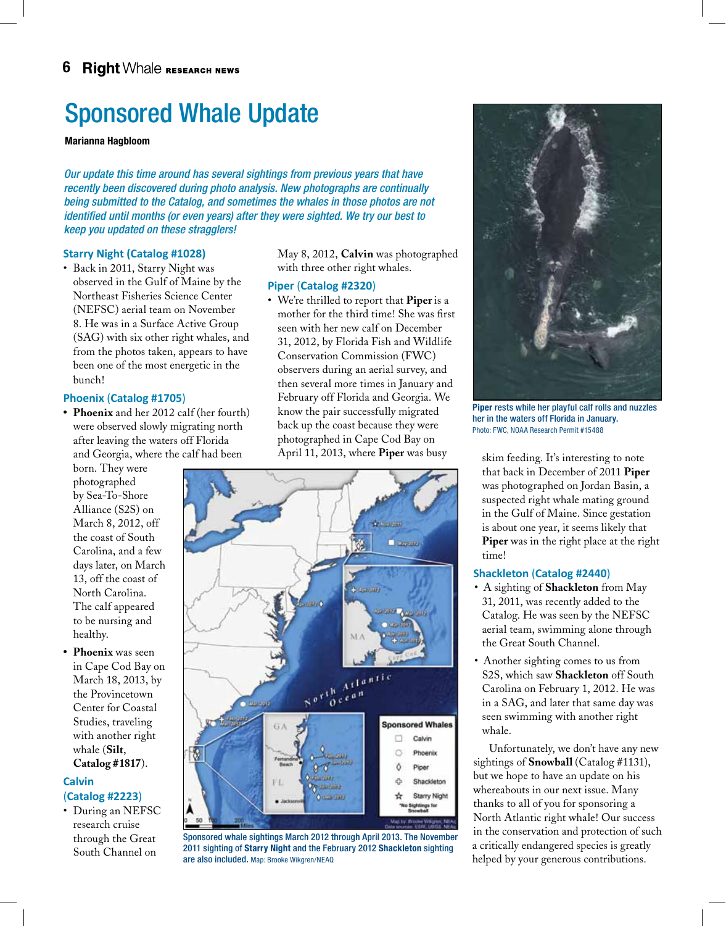## Sponsored Whale Update

#### Marianna Hagbloom

*Our update this time around has several sightings from previous years that have recently been discovered during photo analysis. New photographs are continually being submitted to the Catalog, and sometimes the whales in those photos are not identified until months (or even years) after they were sighted. We try our best to keep you updated on these stragglers!*

#### **Starry Night (Catalog #1028)**

• Back in 2011, Starry Night was observed in the Gulf of Maine by the Northeast Fisheries Science Center (NEFSC) aerial team on November 8. He was in a Surface Active Group (SAG) with six other right whales, and from the photos taken, appears to have been one of the most energetic in the bunch!

#### **Phoenix** (**Catalog #1705**)

**• Phoenix** and her 2012 calf (her fourth) were observed slowly migrating north after leaving the waters off Florida and Georgia, where the calf had been

born. They were photographed by Sea-To-Shore Alliance (S2S) on March 8, 2012, off the coast of South Carolina, and a few days later, on March 13, off the coast of North Carolina. The calf appeared to be nursing and healthy.

**• Phoenix** was seen in Cape Cod Bay on March 18, 2013, by the Provincetown Center for Coastal Studies, traveling with another right whale (**Silt**, **Catalog #1817**).

#### **Calvin**

- (**Catalog #2223**)
- During an NEFSC research cruise through the Great South Channel on

May 8, 2012, **Calvin** was photographed with three other right whales.

#### **Piper** (**Catalog #2320**)

• We're thrilled to report that **Piper** is a mother for the third time! She was first seen with her new calf on December 31, 2012, by Florida Fish and Wildlife Conservation Commission (FWC) observers during an aerial survey, and then several more times in January and February off Florida and Georgia. We know the pair successfully migrated back up the coast because they were photographed in Cape Cod Bay on April 11, 2013, where **Piper** was busy skim feeding. It's interesting to note



Sponsored whale sightings March 2012 through April 2013. The November 2011 sighting of Starry Night and the February 2012 Shackleton sighting are also included. Map: Brooke Wikgren/NEAQ



Piper rests while her playful calf rolls and nuzzles her in the waters off Florida in January. Photo: FWC, NOAA Research Permit #15488

that back in December of 2011 **Piper** was photographed on Jordan Basin, a suspected right whale mating ground in the Gulf of Maine. Since gestation is about one year, it seems likely that **Piper** was in the right place at the right time!

#### **Shackleton** (**Catalog #2440**)

- • A sighting of **Shackleton** from May 31, 2011, was recently added to the Catalog. He was seen by the NEFSC aerial team, swimming alone through the Great South Channel.
- Another sighting comes to us from S2S, which saw **Shackleton** off South Carolina on February 1, 2012. He was in a SAG, and later that same day was seen swimming with another right whale.

Unfortunately, we don't have any new sightings of **Snowball** (Catalog #1131), but we hope to have an update on his whereabouts in our next issue. Many thanks to all of you for sponsoring a North Atlantic right whale! Our success in the conservation and protection of such a critically endangered species is greatly helped by your generous contributions.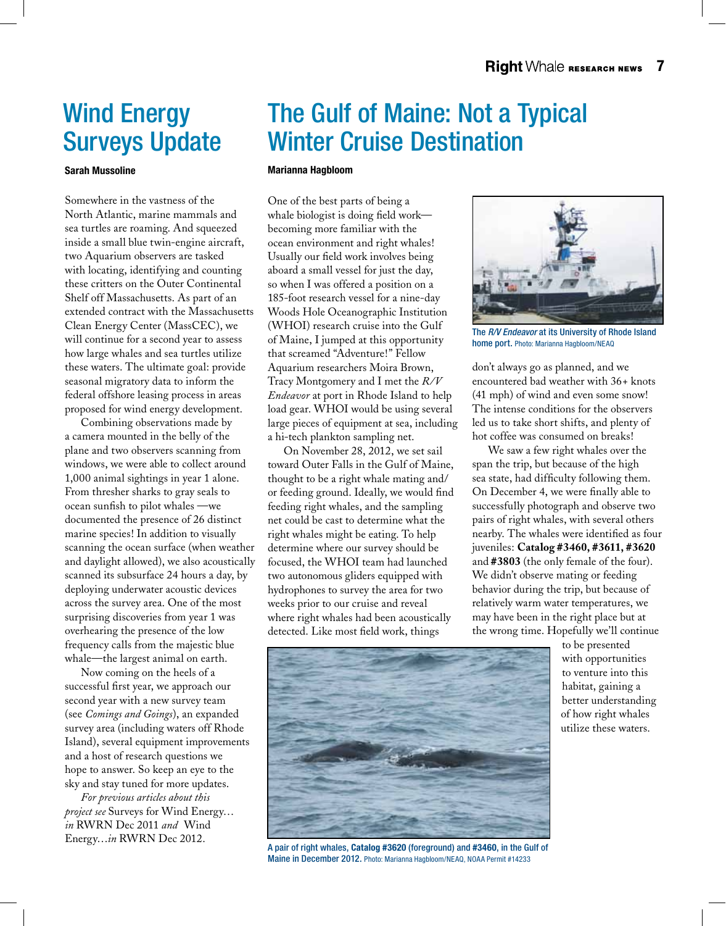## Wind Energy Surveys Update

#### Sarah Mussoline

Somewhere in the vastness of the North Atlantic, marine mammals and sea turtles are roaming. And squeezed inside a small blue twin-engine aircraft, two Aquarium observers are tasked with locating, identifying and counting these critters on the Outer Continental Shelf off Massachusetts. As part of an extended contract with the Massachusetts Clean Energy Center (MassCEC), we will continue for a second year to assess how large whales and sea turtles utilize these waters. The ultimate goal: provide seasonal migratory data to inform the federal offshore leasing process in areas proposed for wind energy development.

Combining observations made by a camera mounted in the belly of the plane and two observers scanning from windows, we were able to collect around 1,000 animal sightings in year 1 alone. From thresher sharks to gray seals to ocean sunfish to pilot whales —we documented the presence of 26 distinct marine species! In addition to visually scanning the ocean surface (when weather and daylight allowed), we also acoustically scanned its subsurface 24 hours a day, by deploying underwater acoustic devices across the survey area. One of the most surprising discoveries from year 1 was overhearing the presence of the low frequency calls from the majestic blue whale—the largest animal on earth.

Now coming on the heels of a successful first year, we approach our second year with a new survey team (see *Comings and Goings*), an expanded survey area (including waters off Rhode Island), several equipment improvements and a host of research questions we hope to answer. So keep an eye to the sky and stay tuned for more updates.

*For previous articles about this project see* Surveys for Wind Energy… *in* RWRN Dec 2011 *and* Wind Energy…*in* RWRN Dec 2012.

## The Gulf of Maine: Not a Typical Winter Cruise Destination

#### Marianna Hagbloom

One of the best parts of being a whale biologist is doing field work becoming more familiar with the ocean environment and right whales! Usually our field work involves being aboard a small vessel for just the day, so when I was offered a position on a 185-foot research vessel for a nine-day Woods Hole Oceanographic Institution (WHOI) research cruise into the Gulf of Maine, I jumped at this opportunity that screamed "Adventure!" Fellow Aquarium researchers Moira Brown, Tracy Montgomery and I met the *R/V Endeavor* at port in Rhode Island to help load gear. WHOI would be using several large pieces of equipment at sea, including a hi-tech plankton sampling net.

On November 28, 2012, we set sail toward Outer Falls in the Gulf of Maine, thought to be a right whale mating and/ or feeding ground. Ideally, we would find feeding right whales, and the sampling net could be cast to determine what the right whales might be eating. To help determine where our survey should be focused, the WHOI team had launched two autonomous gliders equipped with hydrophones to survey the area for two weeks prior to our cruise and reveal where right whales had been acoustically detected. Like most field work, things



The *R/V Endeavor* at its University of Rhode Island home port. Photo: Marianna Hagbloom/NEAQ

don't always go as planned, and we encountered bad weather with 36+ knots (41 mph) of wind and even some snow! The intense conditions for the observers led us to take short shifts, and plenty of hot coffee was consumed on breaks!

We saw a few right whales over the span the trip, but because of the high sea state, had difficulty following them. On December 4, we were finally able to successfully photograph and observe two pairs of right whales, with several others nearby. The whales were identified as four juveniles: **Catalog #3460, #3611, #3620**  and **#3803** (the only female of the four). We didn't observe mating or feeding behavior during the trip, but because of relatively warm water temperatures, we may have been in the right place but at the wrong time. Hopefully we'll continue



A pair of right whales, Catalog #3620 (foreground) and #3460, in the Gulf of Maine in December 2012. Photo: Marianna Hagbloom/NEAQ, NOAA Permit #14233

to be presented with opportunities to venture into this habitat, gaining a better understanding of how right whales utilize these waters.